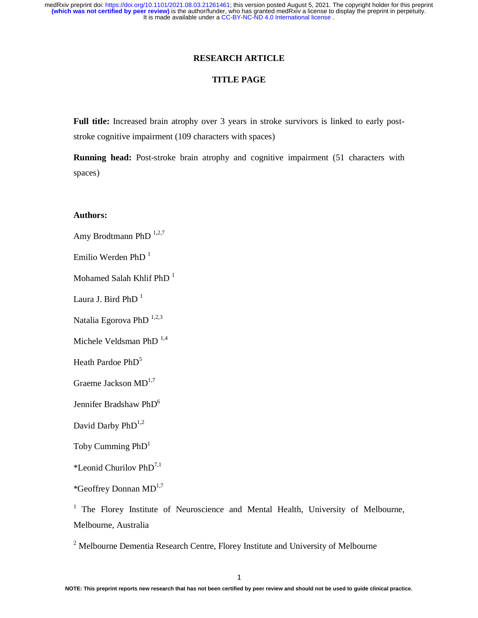## **RESEARCH ARTICLE**

## **TITLE PAGE**

**Full title:** Increased brain atrophy over 3 years in stroke survivors is linked to early poststroke cognitive impairment (109 characters with spaces)

**Running head:** Post-stroke brain atrophy and cognitive impairment (51 characters with spaces)

## **Authors:**

Amy Brodtmann PhD<sup>1,2,7</sup>

Emilio Werden PhD $<sup>1</sup>$ </sup>

Mohamed Salah Khlif PhD $<sup>1</sup>$ </sup>

Laura J. Bird PhD<sup>1</sup>

Natalia Egorova PhD<sup>1,2,3</sup>

Michele Veldsman PhD<sup>1,4</sup>

Heath Pardoe PhD<sup>5</sup>

Graeme Jackson  $MD^{1,7}$ 

Jennifer Bradshaw PhD<sup>6</sup>

David Darby  $PhD^{1,2}$ 

Toby Cumming  $PhD<sup>1</sup>$ 

\*Leonid Churilov  $PhD^{7,1}$ 

\*Geoffrey Donnan  $MD^{1,7}$ 

<sup>1</sup> The Florey Institute of Neuroscience and Mental Health, University of Melbourne, Melbourne, Australia

<sup>2</sup> Melbourne Dementia Research Centre, Florey Institute and University of Melbourne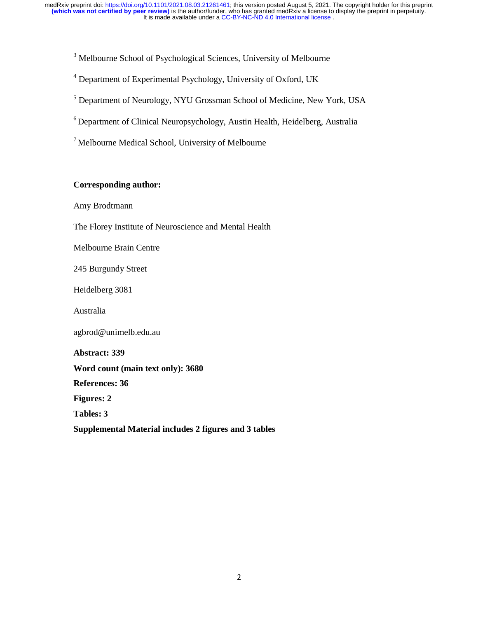<sup>3</sup> Melbourne School of Psychological Sciences, University of Melbourne

<sup>4</sup> Department of Experimental Psychology, University of Oxford, UK

<sup>5</sup> Department of Neurology, NYU Grossman School of Medicine, New York, USA

6 Department of Clinical Neuropsychology, Austin Health, Heidelberg, Australia

 $<sup>7</sup>$  Melbourne Medical School, University of Melbourne</sup>

## **Corresponding author:**

Amy Brodtmann

The Florey Institute of Neuroscience and Mental Health

Melbourne Brain Centre

245 Burgundy Street

Heidelberg 3081

Australia

agbrod@unimelb.edu.au

**Abstract: 339 Word count (main text only): 3680 References: 36 Figures: 2 Tables: 3 Supplemental Material includes 2 figures and 3 tables**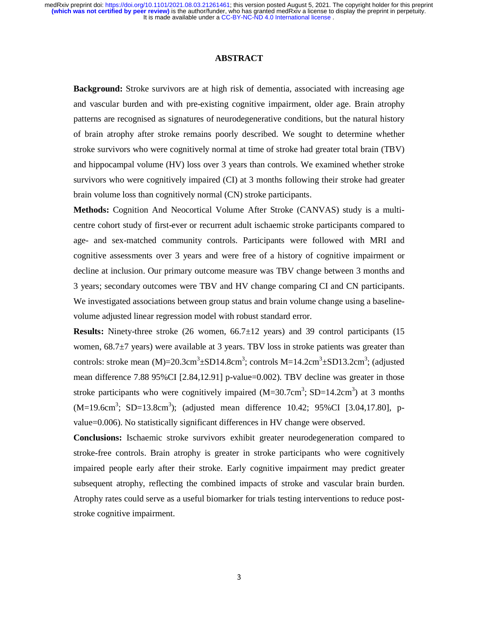## **ABSTRACT**

**Background:** Stroke survivors are at high risk of dementia, associated with increasing age and vascular burden and with pre-existing cognitive impairment, older age. Brain atrophy patterns are recognised as signatures of neurodegenerative conditions, but the natural history of brain atrophy after stroke remains poorly described. We sought to determine whether stroke survivors who were cognitively normal at time of stroke had greater total brain (TBV) and hippocampal volume (HV) loss over 3 years than controls. We examined whether stroke survivors who were cognitively impaired (CI) at 3 months following their stroke had greater brain volume loss than cognitively normal (CN) stroke participants.

**Methods:** Cognition And Neocortical Volume After Stroke (CANVAS) study is a multicentre cohort study of first-ever or recurrent adult ischaemic stroke participants compared to age- and sex-matched community controls. Participants were followed with MRI and cognitive assessments over 3 years and were free of a history of cognitive impairment or decline at inclusion. Our primary outcome measure was TBV change between 3 months and 3 years; secondary outcomes were TBV and HV change comparing CI and CN participants. We investigated associations between group status and brain volume change using a baselinevolume adjusted linear regression model with robust standard error.

**Results:** Ninety-three stroke (26 women, 66.7±12 years) and 39 control participants (15 women,  $68.7\pm7$  years) were available at 3 years. TBV loss in stroke patients was greater than controls: stroke mean  $(M)=20.3cm^3 \pm SD14.8cm^3$ ; controls  $M=14.2cm^3 \pm SD13.2cm^3$ ; (adjusted mean difference 7.88 95%CI [2.84,12.91] p-value=0.002). TBV decline was greater in those stroke participants who were cognitively impaired  $(M=30.7cm^3; SD=14.2cm^3)$  at 3 months  $(M=19.6cm^3; SD=13.8cm^3)$ ; (adjusted mean difference 10.42; 95%CI [3.04,17.80], pvalue=0.006). No statistically significant differences in HV change were observed.

**Conclusions:** Ischaemic stroke survivors exhibit greater neurodegeneration compared to stroke-free controls. Brain atrophy is greater in stroke participants who were cognitively impaired people early after their stroke. Early cognitive impairment may predict greater subsequent atrophy, reflecting the combined impacts of stroke and vascular brain burden. Atrophy rates could serve as a useful biomarker for trials testing interventions to reduce poststroke cognitive impairment.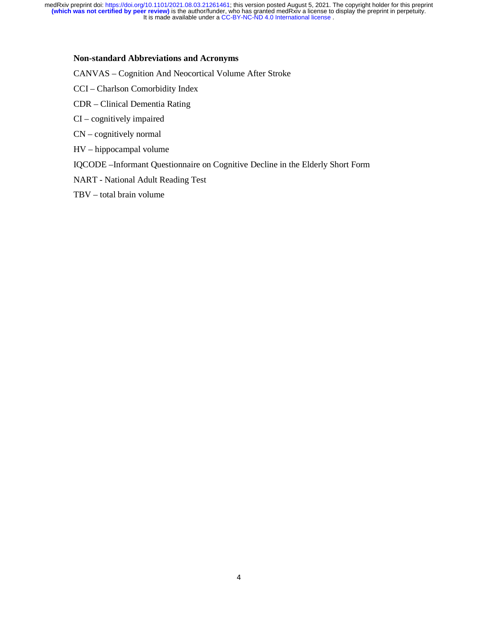## **Non-standard Abbreviations and Acronyms**

CANVAS – Cognition And Neocortical Volume After Stroke

- CCI Charlson Comorbidity Index
- CDR Clinical Dementia Rating
- CI cognitively impaired
- CN cognitively normal
- HV hippocampal volume
- IQCODE –Informant Questionnaire on Cognitive Decline in the Elderly Short Form
- NART National Adult Reading Test
- TBV total brain volume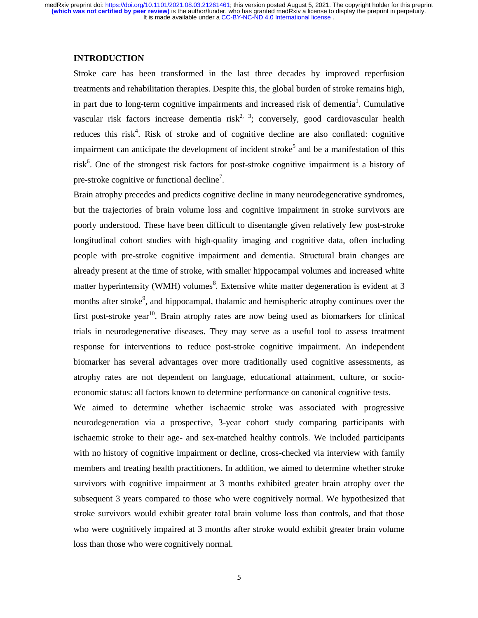## **INTRODUCTION**

Stroke care has been transformed in the last three decades by improved reperfusion treatments and rehabilitation therapies. Despite this, the global burden of stroke remains high, in part due to long-term cognitive impairments and increased risk of dementia<sup>1</sup>. Cumulative vascular risk factors increase dementia risk<sup>2, 3</sup>; conversely, good cardiovascular health reduces this risk<sup>4</sup>. Risk of stroke and of cognitive decline are also conflated: cognitive impairment can anticipate the development of incident stroke<sup>5</sup> and be a manifestation of this risk<sup>6</sup>. One of the strongest risk factors for post-stroke cognitive impairment is a history of pre-stroke cognitive or functional decline<sup>7</sup>.

Brain atrophy precedes and predicts cognitive decline in many neurodegenerative syndromes, but the trajectories of brain volume loss and cognitive impairment in stroke survivors are poorly understood. These have been difficult to disentangle given relatively few post-stroke longitudinal cohort studies with high-quality imaging and cognitive data, often including people with pre-stroke cognitive impairment and dementia. Structural brain changes are already present at the time of stroke, with smaller hippocampal volumes and increased white matter hyperintensity (WMH) volumes<sup>8</sup>. Extensive white matter degeneration is evident at 3 months after stroke<sup>9</sup>, and hippocampal, thalamic and hemispheric atrophy continues over the first post-stroke year<sup>10</sup>. Brain atrophy rates are now being used as biomarkers for clinical trials in neurodegenerative diseases. They may serve as a useful tool to assess treatment response for interventions to reduce post-stroke cognitive impairment. An independent biomarker has several advantages over more traditionally used cognitive assessments, as atrophy rates are not dependent on language, educational attainment, culture, or socioeconomic status: all factors known to determine performance on canonical cognitive tests.

We aimed to determine whether ischaemic stroke was associated with progressive neurodegeneration via a prospective, 3-year cohort study comparing participants with ischaemic stroke to their age- and sex-matched healthy controls. We included participants with no history of cognitive impairment or decline, cross-checked via interview with family members and treating health practitioners. In addition, we aimed to determine whether stroke survivors with cognitive impairment at 3 months exhibited greater brain atrophy over the subsequent 3 years compared to those who were cognitively normal. We hypothesized that stroke survivors would exhibit greater total brain volume loss than controls, and that those who were cognitively impaired at 3 months after stroke would exhibit greater brain volume loss than those who were cognitively normal.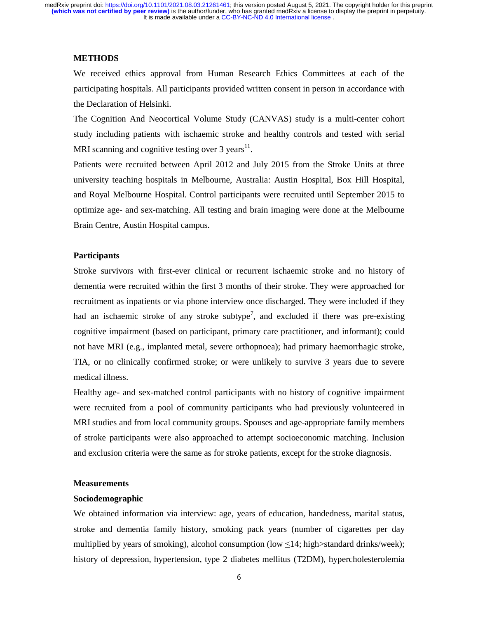#### **METHODS**

We received ethics approval from Human Research Ethics Committees at each of the participating hospitals. All participants provided written consent in person in accordance with the Declaration of Helsinki.

The Cognition And Neocortical Volume Study (CANVAS) study is a multi-center cohort study including patients with ischaemic stroke and healthy controls and tested with serial MRI scanning and cognitive testing over  $3$  years<sup>11</sup>.

Patients were recruited between April 2012 and July 2015 from the Stroke Units at three university teaching hospitals in Melbourne, Australia: Austin Hospital, Box Hill Hospital, and Royal Melbourne Hospital. Control participants were recruited until September 2015 to optimize age- and sex-matching. All testing and brain imaging were done at the Melbourne Brain Centre, Austin Hospital campus.

## **Participants**

Stroke survivors with first-ever clinical or recurrent ischaemic stroke and no history of dementia were recruited within the first 3 months of their stroke. They were approached for recruitment as inpatients or via phone interview once discharged. They were included if they had an ischaemic stroke of any stroke subtype<sup>7</sup>, and excluded if there was pre-existing cognitive impairment (based on participant, primary care practitioner, and informant); could not have MRI (e.g., implanted metal, severe orthopnoea); had primary haemorrhagic stroke, TIA, or no clinically confirmed stroke; or were unlikely to survive 3 years due to severe medical illness.

Healthy age- and sex-matched control participants with no history of cognitive impairment were recruited from a pool of community participants who had previously volunteered in MRI studies and from local community groups. Spouses and age-appropriate family members of stroke participants were also approached to attempt socioeconomic matching. Inclusion and exclusion criteria were the same as for stroke patients, except for the stroke diagnosis.

#### **Measurements**

## **Sociodemographic**

We obtained information via interview: age, years of education, handedness, marital status, stroke and dementia family history, smoking pack years (number of cigarettes per day multiplied by years of smoking), alcohol consumption (low  $\leq 14$ ; high>standard drinks/week); history of depression, hypertension, type 2 diabetes mellitus (T2DM), hypercholesterolemia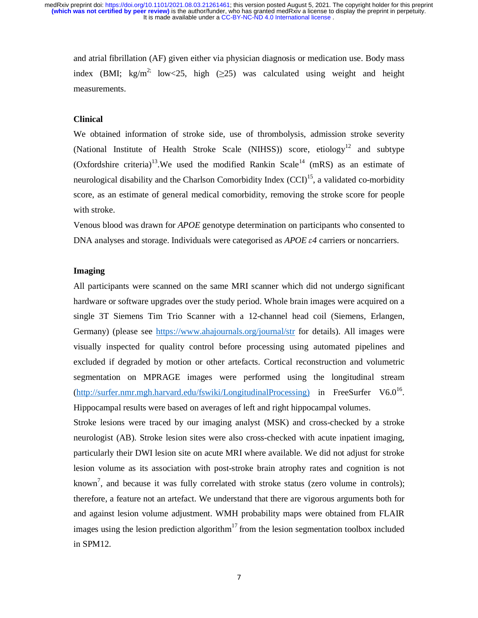and atrial fibrillation (AF) given either via physician diagnosis or medication use. Body mass index (BMI; kg/m<sup>2;</sup> low<25, high ( $\geq$ 25) was calculated using weight and height measurements.

## **Clinical**

We obtained information of stroke side, use of thrombolysis, admission stroke severity (National Institute of Health Stroke Scale (NIHSS)) score, etiology<sup>12</sup> and subtype (Oxfordshire criteria)<sup>13</sup>. We used the modified Rankin Scale<sup>14</sup> (mRS) as an estimate of neurological disability and the Charlson Comorbidity Index  $(CCI)^{15}$ , a validated co-morbidity score, as an estimate of general medical comorbidity, removing the stroke score for people with stroke.

Venous blood was drawn for *APOE* genotype determination on participants who consented to DNA analyses and storage. Individuals were categorised as *APOE* ε*4* carriers or noncarriers.

## **Imaging**

All participants were scanned on the same MRI scanner which did not undergo significant hardware or software upgrades over the study period. Whole brain images were acquired on a single 3T Siemens Tim Trio Scanner with a 12-channel head coil (Siemens, Erlangen, Germany) (please see https://www.ahajournals.org/journal/str for details). All images were visually inspected for quality control before processing using automated pipelines and excluded if degraded by motion or other artefacts. Cortical reconstruction and volumetric segmentation on MPRAGE images were performed using the longitudinal stream (http://surfer.nmr.mgh.harvard.edu/fswiki/LongitudinalProcessing) in FreeSurfer V6.0<sup>16</sup>. Hippocampal results were based on averages of left and right hippocampal volumes.

Stroke lesions were traced by our imaging analyst (MSK) and cross-checked by a stroke neurologist (AB). Stroke lesion sites were also cross-checked with acute inpatient imaging, particularly their DWI lesion site on acute MRI where available. We did not adjust for stroke lesion volume as its association with post-stroke brain atrophy rates and cognition is not known<sup>7</sup>, and because it was fully correlated with stroke status (zero volume in controls); therefore, a feature not an artefact. We understand that there are vigorous arguments both for and against lesion volume adjustment. WMH probability maps were obtained from FLAIR images using the lesion prediction algorithm<sup>17</sup> from the lesion segmentation toolbox included in SPM12.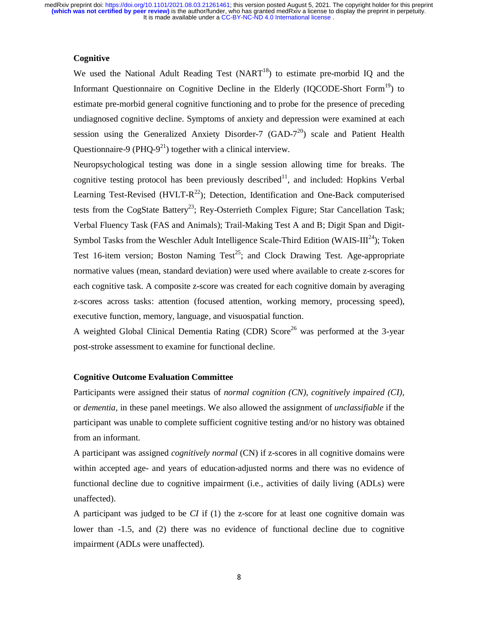## **Cognitive**

We used the National Adult Reading Test  $(NART^{18})$  to estimate pre-morbid IQ and the Informant Questionnaire on Cognitive Decline in the Elderly (IQCODE-Short Form<sup>19</sup>) to estimate pre-morbid general cognitive functioning and to probe for the presence of preceding undiagnosed cognitive decline. Symptoms of anxiety and depression were examined at each session using the Generalized Anxiety Disorder-7  $(GAD-7<sup>20</sup>)$  scale and Patient Health Questionnaire-9 (PHQ-9<sup>21</sup>) together with a clinical interview.

Neuropsychological testing was done in a single session allowing time for breaks. The cognitive testing protocol has been previously described<sup>11</sup>, and included: Hopkins Verbal Learning Test-Revised (HVLT- $R^{22}$ ); Detection, Identification and One-Back computerised tests from the CogState Battery<sup>23</sup>; Rey-Osterrieth Complex Figure; Star Cancellation Task; Verbal Fluency Task (FAS and Animals); Trail-Making Test A and B; Digit Span and Digit-Symbol Tasks from the Weschler Adult Intelligence Scale-Third Edition (WAIS-III<sup>24</sup>); Token Test 16-item version; Boston Naming Test<sup>25</sup>; and Clock Drawing Test. Age-appropriate normative values (mean, standard deviation) were used where available to create z-scores for each cognitive task. A composite z-score was created for each cognitive domain by averaging z-scores across tasks: attention (focused attention, working memory, processing speed), executive function, memory, language, and visuospatial function.

A weighted Global Clinical Dementia Rating (CDR) Score<sup>26</sup> was performed at the 3-vear post-stroke assessment to examine for functional decline.

#### **Cognitive Outcome Evaluation Committee**

Participants were assigned their status of *normal cognition (CN), cognitively impaired (CI),*  or *dementia,* in these panel meetings. We also allowed the assignment of *unclassifiable* if the participant was unable to complete sufficient cognitive testing and/or no history was obtained from an informant.

A participant was assigned *cognitively normal* (CN) if z-scores in all cognitive domains were within accepted age- and years of education-adjusted norms and there was no evidence of functional decline due to cognitive impairment (i.e., activities of daily living (ADLs) were unaffected).

A participant was judged to be *CI* if (1) the z-score for at least one cognitive domain was lower than -1.5, and (2) there was no evidence of functional decline due to cognitive impairment (ADLs were unaffected).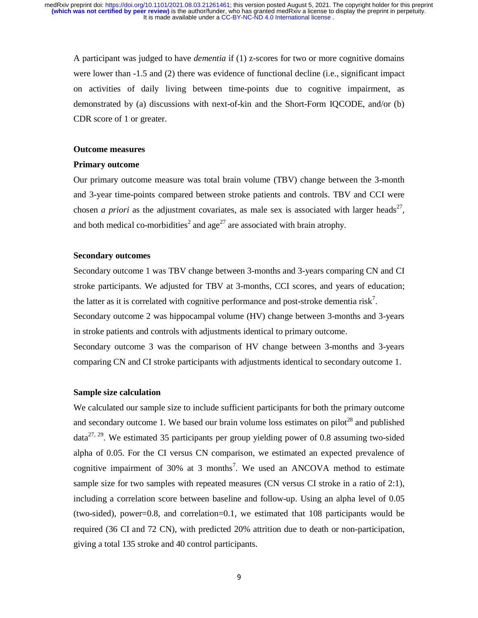A participant was judged to have *dementia* if (1) z-scores for two or more cognitive domains were lower than -1.5 and (2) there was evidence of functional decline (i.e., significant impact on activities of daily living between time-points due to cognitive impairment, as demonstrated by (a) discussions with next-of-kin and the Short-Form IQCODE, and/or (b) CDR score of 1 or greater.

## **Outcome measures**

#### **Primary outcome**

Our primary outcome measure was total brain volume (TBV) change between the 3-month and 3-year time-points compared between stroke patients and controls. TBV and CCI were chosen *a priori* as the adjustment covariates, as male sex is associated with larger heads<sup>27</sup>, and both medical co-morbidities<sup>2</sup> and age<sup>27</sup> are associated with brain atrophy.

## **Secondary outcomes**

Secondary outcome 1 was TBV change between 3-months and 3-years comparing CN and CI stroke participants. We adjusted for TBV at 3-months, CCI scores, and years of education; the latter as it is correlated with cognitive performance and post-stroke dementia risk<sup>7</sup>.

Secondary outcome 2 was hippocampal volume (HV) change between 3-months and 3-years in stroke patients and controls with adjustments identical to primary outcome.

Secondary outcome 3 was the comparison of HV change between 3-months and 3-years comparing CN and CI stroke participants with adjustments identical to secondary outcome 1.

#### **Sample size calculation**

We calculated our sample size to include sufficient participants for both the primary outcome and secondary outcome 1. We based our brain volume loss estimates on pilot<sup>28</sup> and published  $data^{27, 29}$ . We estimated 35 participants per group yielding power of 0.8 assuming two-sided alpha of 0.05. For the CI versus CN comparison, we estimated an expected prevalence of cognitive impairment of 30% at 3 months<sup>7</sup>. We used an ANCOVA method to estimate sample size for two samples with repeated measures (CN versus CI stroke in a ratio of 2:1), including a correlation score between baseline and follow-up. Using an alpha level of 0.05 (two-sided), power=0.8, and correlation=0.1, we estimated that 108 participants would be required (36 CI and 72 CN), with predicted 20% attrition due to death or non-participation, giving a total 135 stroke and 40 control participants.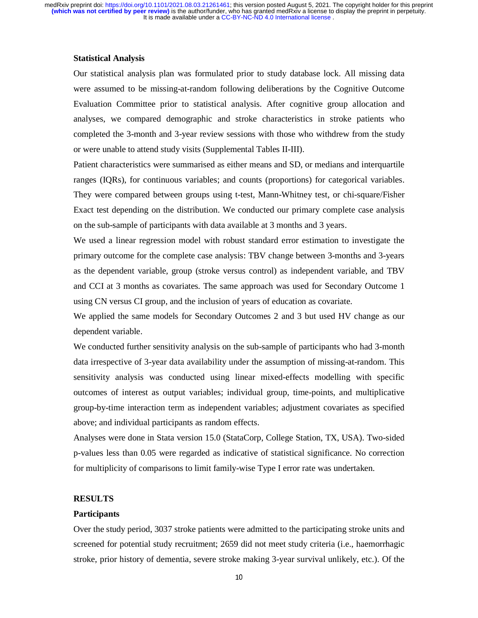#### **Statistical Analysis**

Our statistical analysis plan was formulated prior to study database lock. All missing data were assumed to be missing-at-random following deliberations by the Cognitive Outcome Evaluation Committee prior to statistical analysis. After cognitive group allocation and analyses, we compared demographic and stroke characteristics in stroke patients who completed the 3-month and 3-year review sessions with those who withdrew from the study or were unable to attend study visits (Supplemental Tables II-III).

Patient characteristics were summarised as either means and SD, or medians and interquartile ranges (IQRs), for continuous variables; and counts (proportions) for categorical variables. They were compared between groups using t-test, Mann-Whitney test, or chi-square/Fisher Exact test depending on the distribution. We conducted our primary complete case analysis on the sub-sample of participants with data available at 3 months and 3 years.

We used a linear regression model with robust standard error estimation to investigate the primary outcome for the complete case analysis: TBV change between 3-months and 3-years as the dependent variable, group (stroke versus control) as independent variable, and TBV and CCI at 3 months as covariates. The same approach was used for Secondary Outcome 1 using CN versus CI group, and the inclusion of years of education as covariate.

We applied the same models for Secondary Outcomes 2 and 3 but used HV change as our dependent variable.

We conducted further sensitivity analysis on the sub-sample of participants who had 3-month data irrespective of 3-year data availability under the assumption of missing-at-random. This sensitivity analysis was conducted using linear mixed-effects modelling with specific outcomes of interest as output variables; individual group, time-points, and multiplicative group-by-time interaction term as independent variables; adjustment covariates as specified above; and individual participants as random effects.

Analyses were done in Stata version 15.0 (StataCorp, College Station, TX, USA). Two-sided p-values less than 0.05 were regarded as indicative of statistical significance. No correction for multiplicity of comparisons to limit family-wise Type I error rate was undertaken.

#### **RESULTS**

#### **Participants**

Over the study period, 3037 stroke patients were admitted to the participating stroke units and screened for potential study recruitment; 2659 did not meet study criteria (i.e., haemorrhagic stroke, prior history of dementia, severe stroke making 3-year survival unlikely, etc.). Of the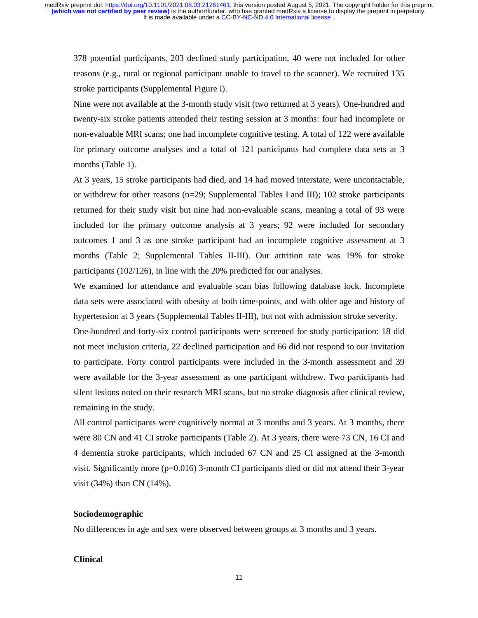378 potential participants, 203 declined study participation, 40 were not included for other reasons (e.g., rural or regional participant unable to travel to the scanner). We recruited 135 stroke participants (Supplemental Figure I).

Nine were not available at the 3-month study visit (two returned at 3 years). One-hundred and twenty-six stroke patients attended their testing session at 3 months: four had incomplete or non-evaluable MRI scans; one had incomplete cognitive testing. A total of 122 were available for primary outcome analyses and a total of 121 participants had complete data sets at 3 months (Table 1).

At 3 years, 15 stroke participants had died, and 14 had moved interstate, were uncontactable, or withdrew for other reasons (n=29; Supplemental Tables I and III); 102 stroke participants returned for their study visit but nine had non-evaluable scans, meaning a total of 93 were included for the primary outcome analysis at 3 years; 92 were included for secondary outcomes 1 and 3 as one stroke participant had an incomplete cognitive assessment at 3 months (Table 2; Supplemental Tables II-III). Our attrition rate was 19% for stroke participants (102/126), in line with the 20% predicted for our analyses.

We examined for attendance and evaluable scan bias following database lock. Incomplete data sets were associated with obesity at both time-points, and with older age and history of hypertension at 3 years (Supplemental Tables II-III), but not with admission stroke severity.

One-hundred and forty-six control participants were screened for study participation: 18 did not meet inclusion criteria, 22 declined participation and 66 did not respond to our invitation to participate. Forty control participants were included in the 3-month assessment and 39 were available for the 3-year assessment as one participant withdrew. Two participants had silent lesions noted on their research MRI scans, but no stroke diagnosis after clinical review, remaining in the study.

All control participants were cognitively normal at 3 months and 3 years. At 3 months, there were 80 CN and 41 CI stroke participants (Table 2). At 3 years, there were 73 CN, 16 CI and 4 dementia stroke participants, which included 67 CN and 25 CI assigned at the 3-month visit. Significantly more ( $p=0.016$ ) 3-month CI participants died or did not attend their 3-year visit (34%) than CN (14%).

## **Sociodemographic**

No differences in age and sex were observed between groups at 3 months and 3 years.

#### **Clinical**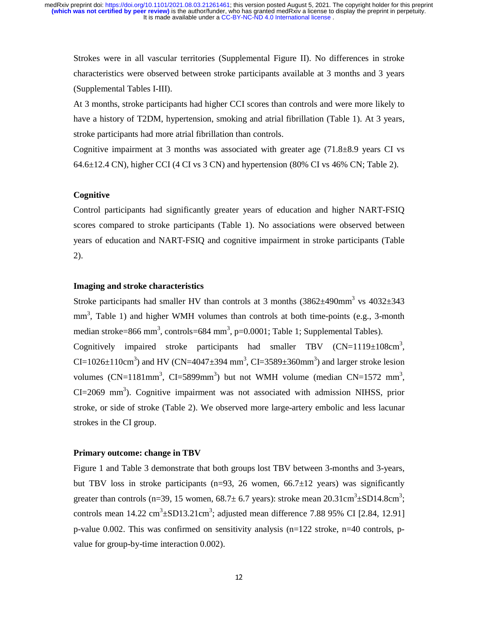Strokes were in all vascular territories (Supplemental Figure II). No differences in stroke characteristics were observed between stroke participants available at 3 months and 3 years (Supplemental Tables I-III).

At 3 months, stroke participants had higher CCI scores than controls and were more likely to have a history of T2DM, hypertension, smoking and atrial fibrillation (Table 1). At 3 years, stroke participants had more atrial fibrillation than controls.

Cognitive impairment at 3 months was associated with greater age  $(71.8\pm8.9$  years CI vs  $64.6\pm12.4$  CN), higher CCI (4 CI vs 3 CN) and hypertension (80% CI vs 46% CN; Table 2).

## **Cognitive**

Control participants had significantly greater years of education and higher NART-FSIQ scores compared to stroke participants (Table 1). No associations were observed between years of education and NART-FSIQ and cognitive impairment in stroke participants (Table 2).

## **Imaging and stroke characteristics**

Stroke participants had smaller HV than controls at 3 months  $(3862 \pm 490 \text{mm}^3 \text{ vs } 4032 \pm 343 \text{ m}^3 \text{)}$ mm<sup>3</sup>, Table 1) and higher WMH volumes than controls at both time-points (e.g., 3-month median stroke=866 mm<sup>3</sup>, controls=684 mm<sup>3</sup>, p=0.0001; Table 1; Supplemental Tables). Cognitively impaired stroke participants had smaller TBV  $(CN=1119\pm108 \text{cm}^3)$ , CI=1026 $\pm$ 110cm<sup>3</sup>) and HV (CN=4047 $\pm$ 394 mm<sup>3</sup>, CI=3589 $\pm$ 360mm<sup>3</sup>) and larger stroke lesion volumes (CN=1181mm<sup>3</sup>, CI=5899mm<sup>3</sup>) but not WMH volume (median CN=1572 mm<sup>3</sup>,  $CI = 2069$  mm<sup>3</sup>). Cognitive impairment was not associated with admission NIHSS, prior stroke, or side of stroke (Table 2). We observed more large-artery embolic and less lacunar strokes in the CI group.

#### **Primary outcome: change in TBV**

Figure 1 and Table 3 demonstrate that both groups lost TBV between 3-months and 3-years, but TBV loss in stroke participants (n=93, 26 women,  $66.7 \pm 12$  years) was significantly greater than controls (n=39, 15 women,  $68.7 \pm 6.7$  years): stroke mean  $20.31 \text{cm}^3 \pm \text{SD14.8cm}^3$ ; controls mean  $14.22 \text{ cm}^3 \pm \text{SD13.21 cm}^3$ ; adjusted mean difference 7.88 95% CI [2.84, 12.91] p-value 0.002. This was confirmed on sensitivity analysis (n=122 stroke, n=40 controls, pvalue for group-by-time interaction 0.002).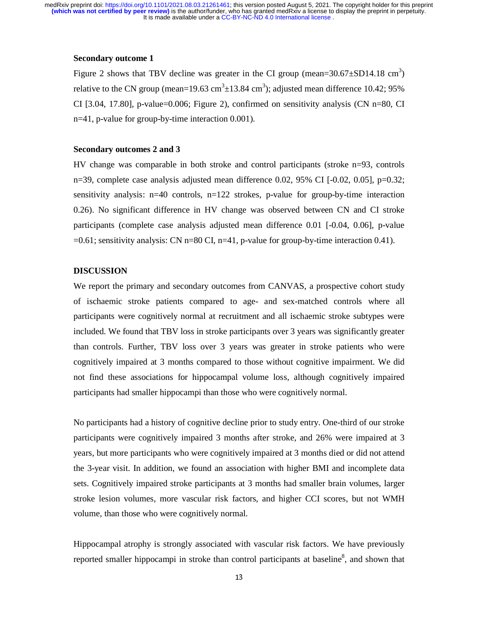## **Secondary outcome 1**

Figure 2 shows that TBV decline was greater in the CI group (mean= $30.67 \pm SD14.18 \text{ cm}^3$ ) relative to the CN group (mean=19.63 cm<sup>3</sup> $\pm$ 13.84 cm<sup>3</sup>); adjusted mean difference 10.42; 95% CI [3.04, 17.80], p-value=0.006; Figure 2), confirmed on sensitivity analysis (CN n=80, CI n=41, p-value for group-by-time interaction 0.001).

#### **Secondary outcomes 2 and 3**

HV change was comparable in both stroke and control participants (stroke n=93, controls n=39, complete case analysis adjusted mean difference 0.02, 95% CI [-0.02, 0.05], p=0.32; sensitivity analysis: n=40 controls, n=122 strokes, p-value for group-by-time interaction 0.26). No significant difference in HV change was observed between CN and CI stroke participants (complete case analysis adjusted mean difference 0.01 [-0.04, 0.06], p-value  $=0.61$ ; sensitivity analysis: CN n=80 CI, n=41, p-value for group-by-time interaction 0.41).

## **DISCUSSION**

We report the primary and secondary outcomes from CANVAS, a prospective cohort study of ischaemic stroke patients compared to age- and sex-matched controls where all participants were cognitively normal at recruitment and all ischaemic stroke subtypes were included. We found that TBV loss in stroke participants over 3 years was significantly greater than controls. Further, TBV loss over 3 years was greater in stroke patients who were cognitively impaired at 3 months compared to those without cognitive impairment. We did not find these associations for hippocampal volume loss, although cognitively impaired participants had smaller hippocampi than those who were cognitively normal.

No participants had a history of cognitive decline prior to study entry. One-third of our stroke participants were cognitively impaired 3 months after stroke, and 26% were impaired at 3 years, but more participants who were cognitively impaired at 3 months died or did not attend the 3-year visit. In addition, we found an association with higher BMI and incomplete data sets. Cognitively impaired stroke participants at 3 months had smaller brain volumes, larger stroke lesion volumes, more vascular risk factors, and higher CCI scores, but not WMH volume, than those who were cognitively normal.

Hippocampal atrophy is strongly associated with vascular risk factors. We have previously reported smaller hippocampi in stroke than control participants at baseline<sup>8</sup>, and shown that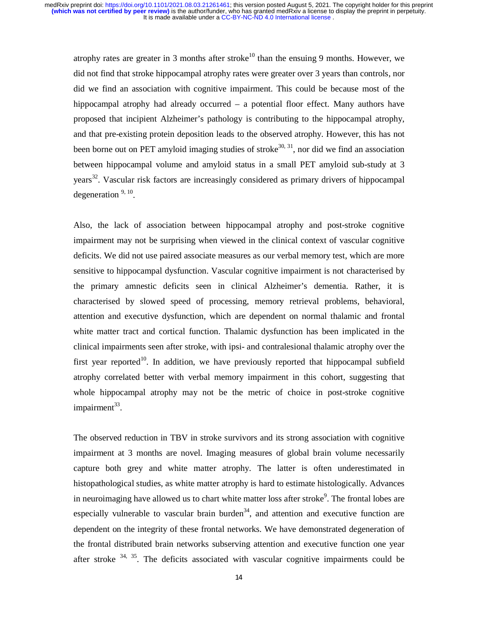atrophy rates are greater in 3 months after stroke<sup>10</sup> than the ensuing 9 months. However, we did not find that stroke hippocampal atrophy rates were greater over 3 years than controls, nor did we find an association with cognitive impairment. This could be because most of the hippocampal atrophy had already occurred – a potential floor effect. Many authors have proposed that incipient Alzheimer's pathology is contributing to the hippocampal atrophy, and that pre-existing protein deposition leads to the observed atrophy. However, this has not been borne out on PET amyloid imaging studies of stroke<sup>30, 31</sup>, nor did we find an association between hippocampal volume and amyloid status in a small PET amyloid sub-study at 3 years<sup>32</sup>. Vascular risk factors are increasingly considered as primary drivers of hippocampal degeneration  $9, 10$ .

Also, the lack of association between hippocampal atrophy and post-stroke cognitive impairment may not be surprising when viewed in the clinical context of vascular cognitive deficits. We did not use paired associate measures as our verbal memory test, which are more sensitive to hippocampal dysfunction. Vascular cognitive impairment is not characterised by the primary amnestic deficits seen in clinical Alzheimer's dementia. Rather, it is characterised by slowed speed of processing, memory retrieval problems, behavioral, attention and executive dysfunction, which are dependent on normal thalamic and frontal white matter tract and cortical function. Thalamic dysfunction has been implicated in the clinical impairments seen after stroke, with ipsi- and contralesional thalamic atrophy over the first year reported<sup>10</sup>. In addition, we have previously reported that hippocampal subfield atrophy correlated better with verbal memory impairment in this cohort, suggesting that whole hippocampal atrophy may not be the metric of choice in post-stroke cognitive impairment $33$ .

The observed reduction in TBV in stroke survivors and its strong association with cognitive impairment at 3 months are novel. Imaging measures of global brain volume necessarily capture both grey and white matter atrophy. The latter is often underestimated in histopathological studies, as white matter atrophy is hard to estimate histologically. Advances in neuroimaging have allowed us to chart white matter loss after stroke<sup>9</sup>. The frontal lobes are especially vulnerable to vascular brain burden $34$ , and attention and executive function are dependent on the integrity of these frontal networks. We have demonstrated degeneration of the frontal distributed brain networks subserving attention and executive function one year after stroke  $34$ ,  $35$ . The deficits associated with vascular cognitive impairments could be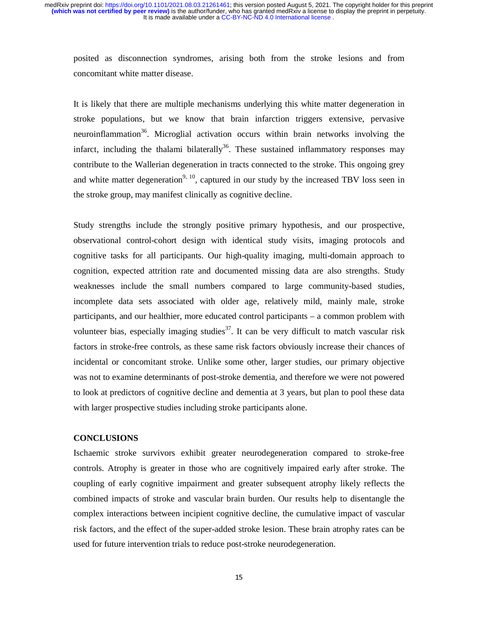posited as disconnection syndromes, arising both from the stroke lesions and from concomitant white matter disease.

It is likely that there are multiple mechanisms underlying this white matter degeneration in stroke populations, but we know that brain infarction triggers extensive, pervasive neuroinflammation<sup>36</sup>. Microglial activation occurs within brain networks involving the infarct, including the thalami bilaterally<sup>36</sup>. These sustained inflammatory responses may contribute to the Wallerian degeneration in tracts connected to the stroke. This ongoing grey and white matter degeneration<sup>9, 10</sup>, captured in our study by the increased TBV loss seen in the stroke group, may manifest clinically as cognitive decline.

Study strengths include the strongly positive primary hypothesis, and our prospective, observational control-cohort design with identical study visits, imaging protocols and cognitive tasks for all participants. Our high-quality imaging, multi-domain approach to cognition, expected attrition rate and documented missing data are also strengths. Study weaknesses include the small numbers compared to large community-based studies, incomplete data sets associated with older age, relatively mild, mainly male, stroke participants, and our healthier, more educated control participants – a common problem with volunteer bias, especially imaging studies<sup>37</sup>. It can be very difficult to match vascular risk factors in stroke-free controls, as these same risk factors obviously increase their chances of incidental or concomitant stroke. Unlike some other, larger studies, our primary objective was not to examine determinants of post-stroke dementia, and therefore we were not powered to look at predictors of cognitive decline and dementia at 3 years, but plan to pool these data with larger prospective studies including stroke participants alone.

## **CONCLUSIONS**

Ischaemic stroke survivors exhibit greater neurodegeneration compared to stroke-free controls. Atrophy is greater in those who are cognitively impaired early after stroke. The coupling of early cognitive impairment and greater subsequent atrophy likely reflects the combined impacts of stroke and vascular brain burden. Our results help to disentangle the complex interactions between incipient cognitive decline, the cumulative impact of vascular risk factors, and the effect of the super-added stroke lesion. These brain atrophy rates can be used for future intervention trials to reduce post-stroke neurodegeneration.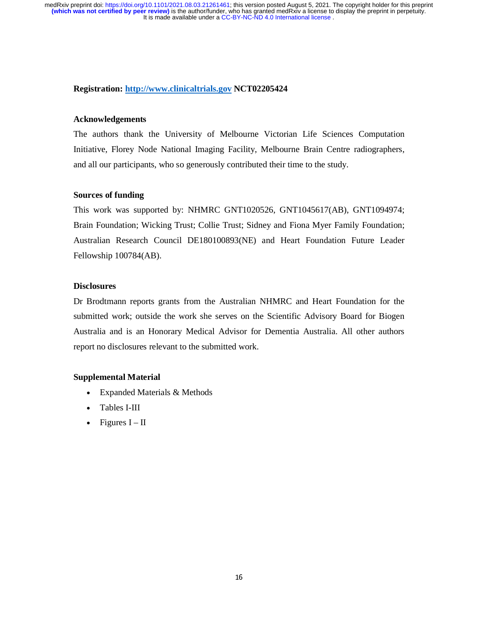## **Registration: http://www.clinicaltrials.gov NCT02205424**

## **Acknowledgements**

The authors thank the University of Melbourne Victorian Life Sciences Computation Initiative, Florey Node National Imaging Facility, Melbourne Brain Centre radiographers, and all our participants, who so generously contributed their time to the study.

## **Sources of funding**

This work was supported by: NHMRC GNT1020526, GNT1045617(AB), GNT1094974; Brain Foundation; Wicking Trust; Collie Trust; Sidney and Fiona Myer Family Foundation; Australian Research Council DE180100893(NE) and Heart Foundation Future Leader Fellowship 100784(AB).

#### **Disclosures**

Dr Brodtmann reports grants from the Australian NHMRC and Heart Foundation for the submitted work; outside the work she serves on the Scientific Advisory Board for Biogen Australia and is an Honorary Medical Advisor for Dementia Australia. All other authors report no disclosures relevant to the submitted work.

## **Supplemental Material**

- Expanded Materials & Methods
- Tables I-III
- Figures  $I II$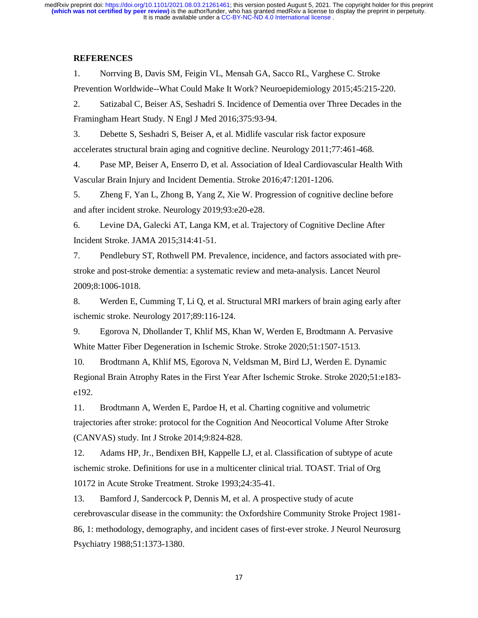## **REFERENCES**

1. Norrving B, Davis SM, Feigin VL, Mensah GA, Sacco RL, Varghese C. Stroke Prevention Worldwide--What Could Make It Work? Neuroepidemiology 2015;45:215-220.

2. Satizabal C, Beiser AS, Seshadri S. Incidence of Dementia over Three Decades in the Framingham Heart Study. N Engl J Med 2016;375:93-94.

3. Debette S, Seshadri S, Beiser A, et al. Midlife vascular risk factor exposure accelerates structural brain aging and cognitive decline. Neurology 2011;77:461-468.

4. Pase MP, Beiser A, Enserro D, et al. Association of Ideal Cardiovascular Health With Vascular Brain Injury and Incident Dementia. Stroke 2016;47:1201-1206.

5. Zheng F, Yan L, Zhong B, Yang Z, Xie W. Progression of cognitive decline before and after incident stroke. Neurology 2019;93:e20-e28.

6. Levine DA, Galecki AT, Langa KM, et al. Trajectory of Cognitive Decline After Incident Stroke. JAMA 2015;314:41-51.

7. Pendlebury ST, Rothwell PM. Prevalence, incidence, and factors associated with prestroke and post-stroke dementia: a systematic review and meta-analysis. Lancet Neurol 2009;8:1006-1018.

8. Werden E, Cumming T, Li Q, et al. Structural MRI markers of brain aging early after ischemic stroke. Neurology 2017;89:116-124.

9. Egorova N, Dhollander T, Khlif MS, Khan W, Werden E, Brodtmann A. Pervasive White Matter Fiber Degeneration in Ischemic Stroke. Stroke 2020;51:1507-1513.

10. Brodtmann A, Khlif MS, Egorova N, Veldsman M, Bird LJ, Werden E. Dynamic Regional Brain Atrophy Rates in the First Year After Ischemic Stroke. Stroke 2020;51:e183 e192.

11. Brodtmann A, Werden E, Pardoe H, et al. Charting cognitive and volumetric trajectories after stroke: protocol for the Cognition And Neocortical Volume After Stroke (CANVAS) study. Int J Stroke 2014;9:824-828.

12. Adams HP, Jr., Bendixen BH, Kappelle LJ, et al. Classification of subtype of acute ischemic stroke. Definitions for use in a multicenter clinical trial. TOAST. Trial of Org 10172 in Acute Stroke Treatment. Stroke 1993;24:35-41.

13. Bamford J, Sandercock P, Dennis M, et al. A prospective study of acute cerebrovascular disease in the community: the Oxfordshire Community Stroke Project 1981- 86, 1: methodology, demography, and incident cases of first-ever stroke. J Neurol Neurosurg Psychiatry 1988;51:1373-1380.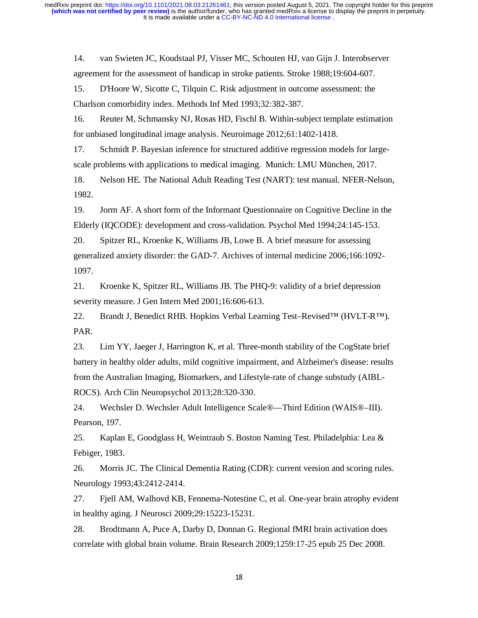14. van Swieten JC, Koudstaal PJ, Visser MC, Schouten HJ, van Gijn J. Interobserver agreement for the assessment of handicap in stroke patients. Stroke 1988;19:604-607.

15. D'Hoore W, Sicotte C, Tilquin C. Risk adjustment in outcome assessment: the Charlson comorbidity index. Methods Inf Med 1993;32:382-387.

16. Reuter M, Schmansky NJ, Rosas HD, Fischl B. Within-subject template estimation for unbiased longitudinal image analysis. Neuroimage 2012;61:1402-1418.

17. Schmidt P. Bayesian inference for structured additive regression models for largescale problems with applications to medical imaging. Munich: LMU München, 2017.

18. Nelson HE. The National Adult Reading Test (NART): test manual. NFER-Nelson, 1982.

19. Jorm AF. A short form of the Informant Questionnaire on Cognitive Decline in the Elderly (IQCODE): development and cross-validation. Psychol Med 1994;24:145-153.

20. Spitzer RL, Kroenke K, Williams JB, Lowe B. A brief measure for assessing generalized anxiety disorder: the GAD-7. Archives of internal medicine 2006;166:1092- 1097.

21. Kroenke K, Spitzer RL, Williams JB. The PHQ-9: validity of a brief depression severity measure. J Gen Intern Med 2001;16:606-613.

22. Brandt J, Benedict RHB. Hopkins Verbal Learning Test–Revised™ (HVLT-R™). PAR.

23. Lim YY, Jaeger J, Harrington K, et al. Three-month stability of the CogState brief battery in healthy older adults, mild cognitive impairment, and Alzheimer's disease: results from the Australian Imaging, Biomarkers, and Lifestyle-rate of change substudy (AIBL-ROCS). Arch Clin Neuropsychol 2013;28:320-330.

24. Wechsler D. Wechsler Adult Intelligence Scale®—Third Edition (WAIS®–III). Pearson, 197.

25. Kaplan E, Goodglass H, Weintraub S. Boston Naming Test. Philadelphia: Lea & Febiger, 1983.

26. Morris JC. The Clinical Dementia Rating (CDR): current version and scoring rules. Neurology 1993;43:2412-2414.

27. Fjell AM, Walhovd KB, Fennema-Notestine C, et al. One-year brain atrophy evident in healthy aging. J Neurosci 2009;29:15223-15231.

28. Brodtmann A, Puce A, Darby D, Donnan G. Regional fMRI brain activation does correlate with global brain volume. Brain Research 2009;1259:17-25 epub 25 Dec 2008.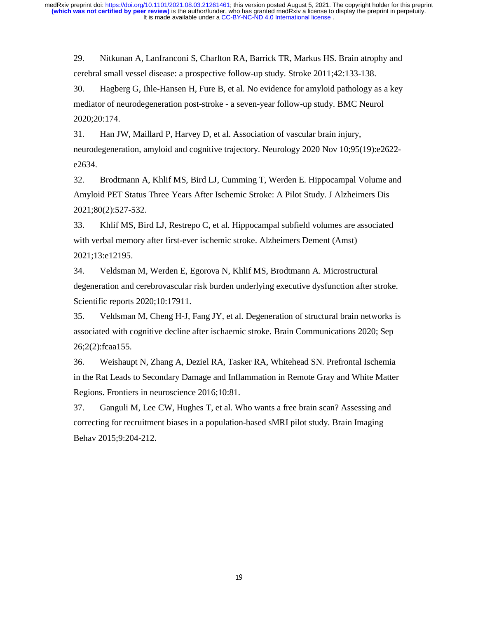29. Nitkunan A, Lanfranconi S, Charlton RA, Barrick TR, Markus HS. Brain atrophy and cerebral small vessel disease: a prospective follow-up study. Stroke 2011;42:133-138.

30. Hagberg G, Ihle-Hansen H, Fure B, et al. No evidence for amyloid pathology as a key mediator of neurodegeneration post-stroke - a seven-year follow-up study. BMC Neurol 2020;20:174.

31. Han JW, Maillard P, Harvey D, et al. Association of vascular brain injury, neurodegeneration, amyloid and cognitive trajectory. Neurology 2020 Nov 10;95(19):e2622 e2634.

32. Brodtmann A, Khlif MS, Bird LJ, Cumming T, Werden E. Hippocampal Volume and Amyloid PET Status Three Years After Ischemic Stroke: A Pilot Study. J Alzheimers Dis 2021;80(2):527-532.

33. Khlif MS, Bird LJ, Restrepo C, et al. Hippocampal subfield volumes are associated with verbal memory after first-ever ischemic stroke. Alzheimers Dement (Amst) 2021;13:e12195.

34. Veldsman M, Werden E, Egorova N, Khlif MS, Brodtmann A. Microstructural degeneration and cerebrovascular risk burden underlying executive dysfunction after stroke. Scientific reports 2020;10:17911.

35. Veldsman M, Cheng H-J, Fang JY, et al. Degeneration of structural brain networks is associated with cognitive decline after ischaemic stroke. Brain Communications 2020; Sep 26;2(2):fcaa155.

36. Weishaupt N, Zhang A, Deziel RA, Tasker RA, Whitehead SN. Prefrontal Ischemia in the Rat Leads to Secondary Damage and Inflammation in Remote Gray and White Matter Regions. Frontiers in neuroscience 2016;10:81.

37. Ganguli M, Lee CW, Hughes T, et al. Who wants a free brain scan? Assessing and correcting for recruitment biases in a population-based sMRI pilot study. Brain Imaging Behav 2015;9:204-212.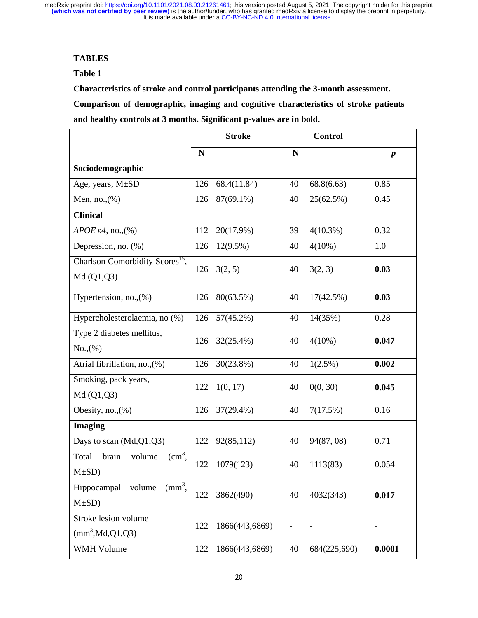# **TABLES**

# **Table 1**

**Characteristics of stroke and control participants attending the 3-month assessment.** 

**Comparison of demographic, imaging and cognitive characteristics of stroke patients and healthy controls at 3 months. Significant p-values are in bold.** 

|                                                            | <b>Stroke</b> |                | <b>Control</b>           |              |                  |  |  |
|------------------------------------------------------------|---------------|----------------|--------------------------|--------------|------------------|--|--|
|                                                            | $\mathbf N$   |                | N                        |              | $\boldsymbol{p}$ |  |  |
| Sociodemographic                                           |               |                |                          |              |                  |  |  |
| Age, years, M±SD                                           | 126           | 68.4(11.84)    | 40                       | 68.8(6.63)   | 0.85             |  |  |
| Men, no., $(\%)$                                           | 126           | 87(69.1%)      | 40                       | 25(62.5%)    | 0.45             |  |  |
| <b>Clinical</b>                                            |               |                |                          |              |                  |  |  |
| APOE $\varepsilon$ 4, no.,(%)                              | 112           | 20(17.9%)      | 39                       | $4(10.3\%)$  | 0.32             |  |  |
| Depression, no. (%)                                        | 126           | $12(9.5\%)$    | 40                       | $4(10\%)$    | 1.0              |  |  |
| Charlson Comorbidity Scores <sup>15</sup> ,<br>Md(Q1,Q3)   | 126           | 3(2, 5)        | 40                       | 3(2, 3)      | 0.03             |  |  |
| Hypertension, no., (%)                                     | 126           | 80(63.5%)      | 40                       | 17(42.5%)    | 0.03             |  |  |
| Hypercholesterolaemia, no (%)                              | 126           | $57(45.2\%)$   | 40                       | 14(35%)      | 0.28             |  |  |
| Type 2 diabetes mellitus,<br>No., (%)                      | 126           | 32(25.4%)      | 40                       | $4(10\%)$    | 0.047            |  |  |
| Atrial fibrillation, no., (%)                              | 126           | 30(23.8%)      | 40                       | 1(2.5%)      | 0.002            |  |  |
| Smoking, pack years,<br>Md (Q1,Q3)                         | 122           | 1(0, 17)       | 40                       | 0(0, 30)     | 0.045            |  |  |
| Obesity, no., $(\%)$                                       | 126           | 37(29.4%)      | 40                       | 7(17.5%)     | 0.16             |  |  |
| <b>Imaging</b>                                             |               |                |                          |              |                  |  |  |
| Days to scan (Md,Q1,Q3)                                    | 122           | 92(85,112)     | 40                       | 94(87, 08)   | 0.71             |  |  |
| $\text{cm}^3$ ,<br>brain<br>Total<br>volume<br>$M\pm SD$ ) | 122           | 1079(123)      | 40                       | 1113(83)     | 0.054            |  |  |
| $\text{mm}^3$ ,<br>Hippocampal<br>volume<br>$M\pm SD$ )    | 122           | 3862(490)      | 40                       | 4032(343)    | 0.017            |  |  |
| Stroke lesion volume<br>(mm <sup>3</sup> , Md, Q1, Q3)     | 122           | 1866(443,6869) | $\overline{\phantom{0}}$ |              |                  |  |  |
| <b>WMH Volume</b>                                          | 122           | 1866(443,6869) | 40                       | 684(225,690) | 0.0001           |  |  |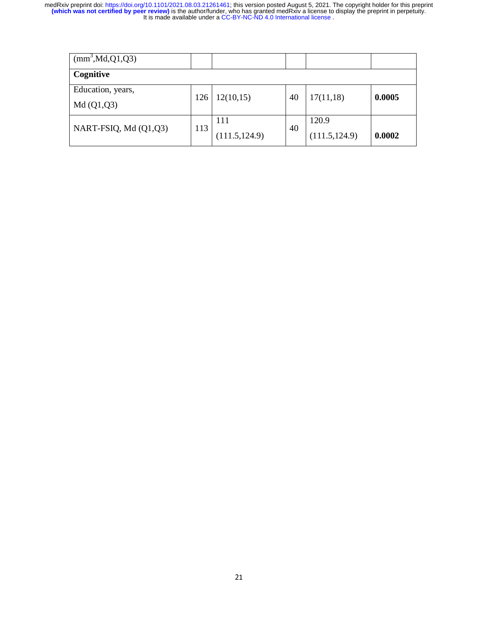| (mm <sup>3</sup> , Md,Q1,Q3) |     |                |    |                |        |  |
|------------------------------|-----|----------------|----|----------------|--------|--|
| Cognitive                    |     |                |    |                |        |  |
| Education, years,            | 126 | 12(10,15)      | 40 | 17(11,18)      | 0.0005 |  |
| Md(Q1,Q3)                    |     |                |    |                |        |  |
| NART-FSIQ, Md (Q1,Q3)        | 113 | 111            | 40 | 120.9          |        |  |
|                              |     | (111.5, 124.9) |    | (111.5, 124.9) | 0.0002 |  |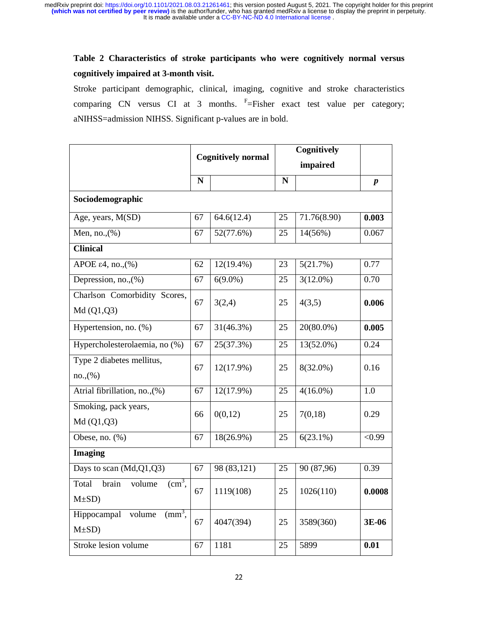# **Table 2 Characteristics of stroke participants who were cognitively normal versus cognitively impaired at 3-month visit.**

Stroke participant demographic, clinical, imaging, cognitive and stroke characteristics comparing CN versus CI at 3 months.  $F = F$  isher exact test value per category; aNIHSS=admission NIHSS. Significant p-values are in bold.

|                                                               | <b>Cognitively normal</b> |              | Cognitively |              |                  |  |
|---------------------------------------------------------------|---------------------------|--------------|-------------|--------------|------------------|--|
|                                                               |                           |              | impaired    |              |                  |  |
|                                                               | N                         |              | $\mathbf N$ |              | $\boldsymbol{p}$ |  |
| Sociodemographic                                              |                           |              |             |              |                  |  |
| Age, years, M(SD)                                             | 67                        | 64.6(12.4)   | 25          | 71.76(8.90)  | 0.003            |  |
| Men, no., $(\%)$                                              | 67                        | 52(77.6%)    | 25          | 14(56%)      | 0.067            |  |
| <b>Clinical</b>                                               |                           |              |             |              |                  |  |
| APOE $\varepsilon$ 4, no., $(\%)$                             | 62                        | $12(19.4\%)$ | 23          | 5(21.7%)     | 0.77             |  |
| Depression, no., (%)                                          | 67                        | $6(9.0\%)$   | 25          | $3(12.0\%)$  | 0.70             |  |
| Charlson Comorbidity Scores,<br>Md(Q1,Q3)                     | 67                        | 3(2,4)       | 25          | 4(3,5)       | 0.006            |  |
| Hypertension, no. (%)                                         | 67                        | 31(46.3%)    | 25          | $20(80.0\%)$ | 0.005            |  |
| Hypercholesterolaemia, no (%)                                 | 67                        | 25(37.3%)    | 25          | 13(52.0%)    | 0.24             |  |
| Type 2 diabetes mellitus,<br>no.,(%)                          | 67                        | 12(17.9%)    | 25          | $8(32.0\%)$  | 0.16             |  |
| Atrial fibrillation, no., (%)                                 | 67                        | $12(17.9\%)$ | 25          | $4(16.0\%)$  | 1.0              |  |
| Smoking, pack years,<br>Md(Q1,Q3)                             | 66                        | 0(0,12)      | 25          | 7(0,18)      | 0.29             |  |
| Obese, no. $(\%)$                                             | 67                        | 18(26.9%)    | 25          | 6(23.1%)     | < 0.99           |  |
| <b>Imaging</b>                                                |                           |              |             |              |                  |  |
| Days to scan (Md, Q1, Q3)                                     | 67                        | 98 (83,121)  | 25          | 90 (87,96)   | 0.39             |  |
| (cm <sup>3</sup> ,<br>brain<br>Total<br>volume<br>$M\pm SD$ ) | 67                        | 1119(108)    | 25          | 1026(110)    | 0.0008           |  |
| $\text{mm}^3$ .<br>Hippocampal<br>volume<br>$M\pm SD$ )       | 67                        | 4047(394)    | 25          | 3589(360)    | 3E-06            |  |
| Stroke lesion volume                                          | 67                        | 1181         | 25          | 5899         | 0.01             |  |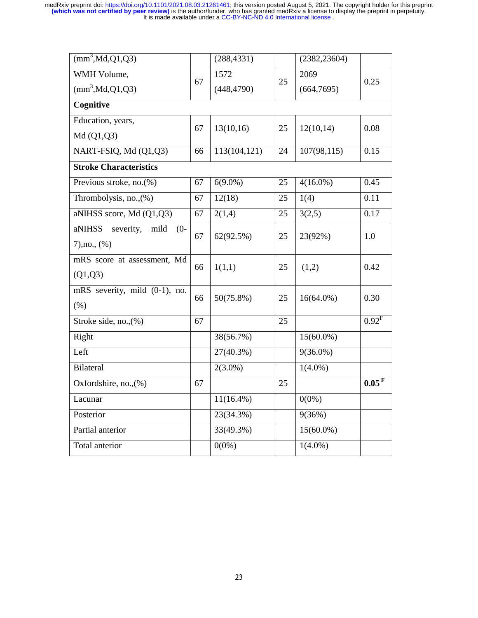| $\overline{\text{(mm)}^3, \text{Md}, \text{Q1}, \text{Q3}}$ |    | (288, 4331)  |    | (2382, 23604) |                   |  |  |
|-------------------------------------------------------------|----|--------------|----|---------------|-------------------|--|--|
| WMH Volume,                                                 | 67 | 1572         | 25 | 2069          | 0.25              |  |  |
| (mm <sup>3</sup> , Md, Q1, Q3)                              |    | (448, 4790)  |    | (664,7695)    |                   |  |  |
| Cognitive                                                   |    |              |    |               |                   |  |  |
| Education, years,                                           | 67 | 13(10,16)    | 25 | 12(10,14)     | 0.08              |  |  |
| Md(Q1,Q3)                                                   |    |              |    |               |                   |  |  |
| NART-FSIQ, Md (Q1,Q3)                                       | 66 | 113(104,121) | 24 | 107(98,115)   | 0.15              |  |  |
| <b>Stroke Characteristics</b>                               |    |              |    |               |                   |  |  |
| Previous stroke, no. $(\%)$                                 | 67 | $6(9.0\%)$   | 25 | $4(16.0\%)$   | 0.45              |  |  |
| Thrombolysis, no., (%)                                      | 67 | 12(18)       | 25 | 1(4)          | 0.11              |  |  |
| aNIHSS score, Md (Q1,Q3)                                    | 67 | 2(1,4)       | 25 | 3(2,5)        | 0.17              |  |  |
| aNIHSS severity, mild<br>$(0 -$                             | 67 | 62(92.5%)    | 25 | 23(92%)       | 1.0               |  |  |
| $7)$ , no., $(\%)$                                          |    |              |    |               |                   |  |  |
| mRS score at assessment, Md                                 | 66 | 1(1,1)       | 25 | (1,2)         | 0.42              |  |  |
| (Q1,Q3)                                                     |    |              |    |               |                   |  |  |
| mRS severity, mild (0-1), no.                               | 66 | 50(75.8%)    | 25 | $16(64.0\%)$  | 0.30              |  |  |
| (%)                                                         |    |              |    |               |                   |  |  |
| Stroke side, no., (%)                                       | 67 |              | 25 |               | 0.92 <sup>F</sup> |  |  |
| Right                                                       |    | 38(56.7%)    |    | $15(60.0\%)$  |                   |  |  |
| Left                                                        |    | 27(40.3%)    |    | $9(36.0\%)$   |                   |  |  |
| <b>Bilateral</b>                                            |    | $2(3.0\%)$   |    | $1(4.0\%)$    |                   |  |  |
| Oxfordshire, no., (%)                                       | 67 |              | 25 |               | 0.05 <sup>F</sup> |  |  |
| Lacunar                                                     |    | $11(16.4\%)$ |    | $0(0\%)$      |                   |  |  |
| Posterior                                                   |    | 23(34.3%)    |    | 9(36%)        |                   |  |  |
| Partial anterior                                            |    | 33(49.3%)    |    | $15(60.0\%)$  |                   |  |  |
| Total anterior                                              |    | $0(0\%)$     |    | $1(4.0\%)$    |                   |  |  |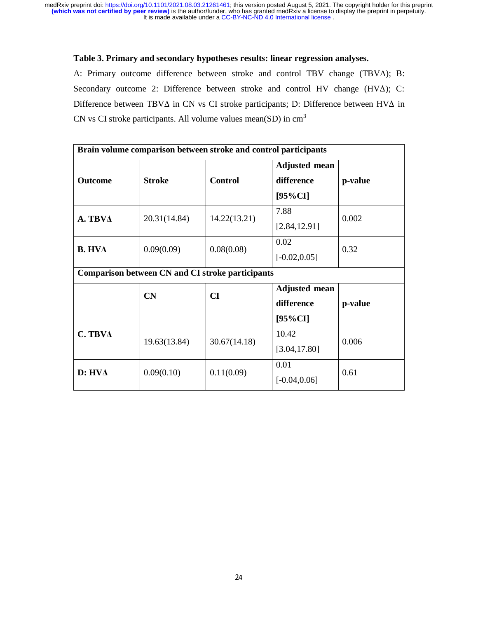## **Table 3. Primary and secondary hypotheses results: linear regression analyses.**

A: Primary outcome difference between stroke and control TBV change (TBVΔ); B: Secondary outcome 2: Difference between stroke and control HV change (HVΔ); C: Difference between TBVΔ in CN vs CI stroke participants; D: Difference between HVΔ in CN vs CI stroke participants. All volume values mean(SD) in  $cm<sup>3</sup>$ 

| Brain volume comparison between stroke and control participants |                                                         |                |                                                  |         |  |  |  |  |
|-----------------------------------------------------------------|---------------------------------------------------------|----------------|--------------------------------------------------|---------|--|--|--|--|
| <b>Outcome</b>                                                  | <b>Stroke</b>                                           | <b>Control</b> | <b>Adjusted mean</b><br>difference<br>$[95\%CI]$ | p-value |  |  |  |  |
| A. TBVA                                                         | 20.31(14.84)                                            | 14.22(13.21)   | 7.88<br>[2.84, 12.91]                            | 0.002   |  |  |  |  |
| <b>B. HVA</b>                                                   | 0.09(0.09)                                              | 0.08(0.08)     | 0.02<br>$[-0.02, 0.05]$                          | 0.32    |  |  |  |  |
|                                                                 | <b>Comparison between CN and CI stroke participants</b> |                |                                                  |         |  |  |  |  |
|                                                                 | CN                                                      | CI             | <b>Adjusted mean</b><br>difference               | p-value |  |  |  |  |
|                                                                 |                                                         |                | $[95\%CI]$                                       |         |  |  |  |  |
| $C.$ TBV $\Delta$                                               | 19.63(13.84)                                            | 30.67(14.18)   | 10.42<br>[3.04, 17.80]                           | 0.006   |  |  |  |  |
| $D: HV\Delta$                                                   | 0.09(0.10)                                              | 0.11(0.09)     | 0.01<br>$[-0.04, 0.06]$                          | 0.61    |  |  |  |  |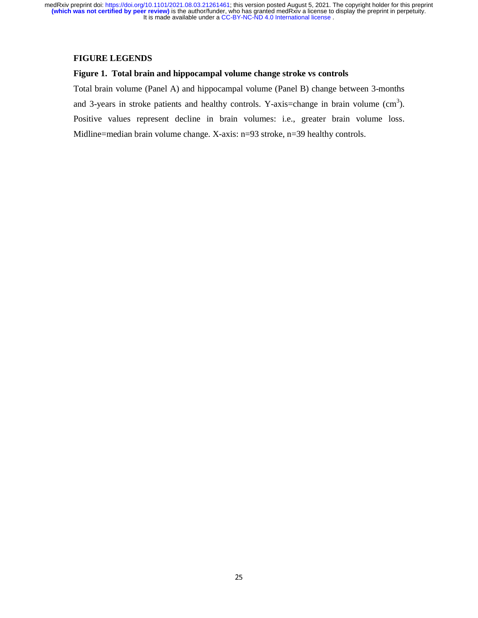## **FIGURE LEGENDS**

## **Figure 1. Total brain and hippocampal volume change stroke vs controls**

Total brain volume (Panel A) and hippocampal volume (Panel B) change between 3-months and 3-years in stroke patients and healthy controls. Y-axis=change in brain volume  $(cm<sup>3</sup>)$ . Positive values represent decline in brain volumes: i.e., greater brain volume loss. Midline=median brain volume change. X-axis: n=93 stroke, n=39 healthy controls.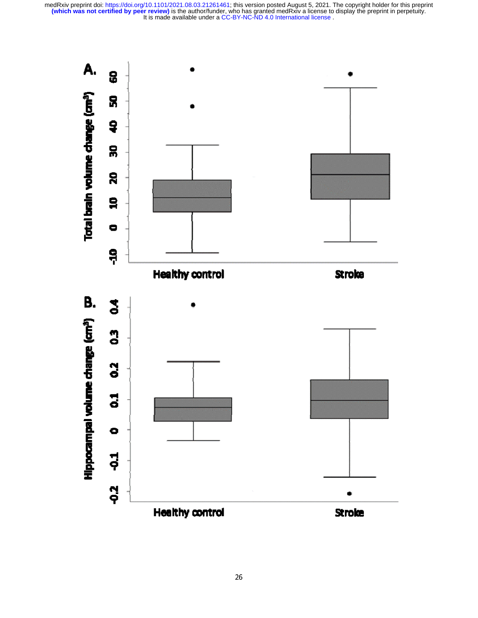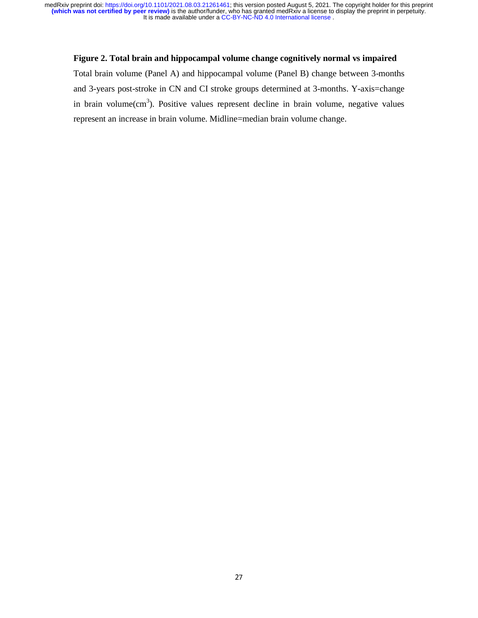## **Figure 2. Total brain and hippocampal volume change cognitively normal vs impaired**

Total brain volume (Panel A) and hippocampal volume (Panel B) change between 3-months and 3-years post-stroke in CN and CI stroke groups determined at 3-months. Y-axis=change in brain volume $(cm<sup>3</sup>)$ . Positive values represent decline in brain volume, negative values represent an increase in brain volume. Midline=median brain volume change.